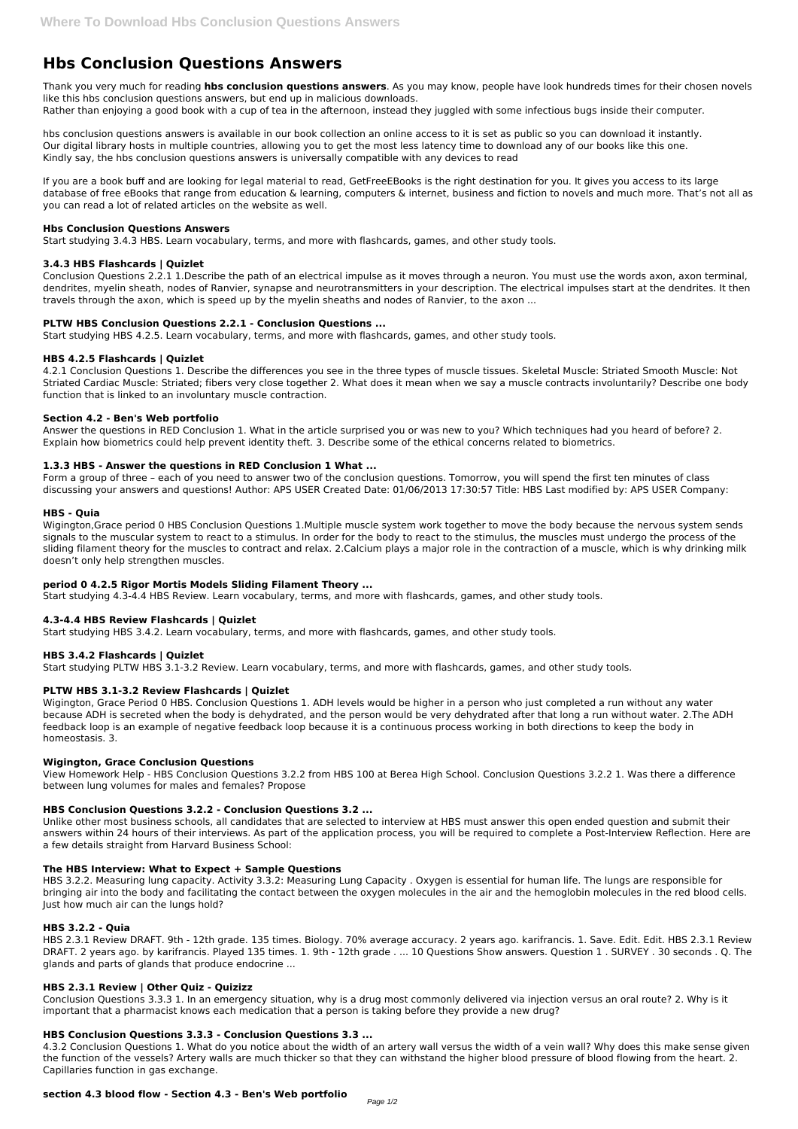# **Hbs Conclusion Questions Answers**

Thank you very much for reading **hbs conclusion questions answers**. As you may know, people have look hundreds times for their chosen novels like this hbs conclusion questions answers, but end up in malicious downloads. Rather than enjoying a good book with a cup of tea in the afternoon, instead they juggled with some infectious bugs inside their computer.

hbs conclusion questions answers is available in our book collection an online access to it is set as public so you can download it instantly. Our digital library hosts in multiple countries, allowing you to get the most less latency time to download any of our books like this one. Kindly say, the hbs conclusion questions answers is universally compatible with any devices to read

If you are a book buff and are looking for legal material to read, GetFreeEBooks is the right destination for you. It gives you access to its large database of free eBooks that range from education & learning, computers & internet, business and fiction to novels and much more. That's not all as you can read a lot of related articles on the website as well.

# **Hbs Conclusion Questions Answers**

Start studying 3.4.3 HBS. Learn vocabulary, terms, and more with flashcards, games, and other study tools.

# **3.4.3 HBS Flashcards | Quizlet**

Conclusion Questions 2.2.1 1.Describe the path of an electrical impulse as it moves through a neuron. You must use the words axon, axon terminal, dendrites, myelin sheath, nodes of Ranvier, synapse and neurotransmitters in your description. The electrical impulses start at the dendrites. It then travels through the axon, which is speed up by the myelin sheaths and nodes of Ranvier, to the axon ...

# **PLTW HBS Conclusion Questions 2.2.1 - Conclusion Questions ...**

Start studying HBS 4.2.5. Learn vocabulary, terms, and more with flashcards, games, and other study tools.

# **HBS 4.2.5 Flashcards | Quizlet**

4.2.1 Conclusion Questions 1. Describe the differences you see in the three types of muscle tissues. Skeletal Muscle: Striated Smooth Muscle: Not Striated Cardiac Muscle: Striated; fibers very close together 2. What does it mean when we say a muscle contracts involuntarily? Describe one body function that is linked to an involuntary muscle contraction.

# **Section 4.2 - Ben's Web portfolio**

Answer the questions in RED Conclusion 1. What in the article surprised you or was new to you? Which techniques had you heard of before? 2. Explain how biometrics could help prevent identity theft. 3. Describe some of the ethical concerns related to biometrics.

# **1.3.3 HBS - Answer the questions in RED Conclusion 1 What ...**

Form a group of three – each of you need to answer two of the conclusion questions. Tomorrow, you will spend the first ten minutes of class discussing your answers and questions! Author: APS USER Created Date: 01/06/2013 17:30:57 Title: HBS Last modified by: APS USER Company:

# **HBS - Quia**

Wigington,Grace period 0 HBS Conclusion Questions 1.Multiple muscle system work together to move the body because the nervous system sends signals to the muscular system to react to a stimulus. In order for the body to react to the stimulus, the muscles must undergo the process of the sliding filament theory for the muscles to contract and relax. 2.Calcium plays a major role in the contraction of a muscle, which is why drinking milk doesn't only help strengthen muscles.

# **period 0 4.2.5 Rigor Mortis Models Sliding Filament Theory ...**

Start studying 4.3-4.4 HBS Review. Learn vocabulary, terms, and more with flashcards, games, and other study tools.

# **4.3-4.4 HBS Review Flashcards | Quizlet**

Start studying HBS 3.4.2. Learn vocabulary, terms, and more with flashcards, games, and other study tools.

# **HBS 3.4.2 Flashcards | Quizlet**

Start studying PLTW HBS 3.1-3.2 Review. Learn vocabulary, terms, and more with flashcards, games, and other study tools.

# **PLTW HBS 3.1-3.2 Review Flashcards | Quizlet**

Wigington, Grace Period 0 HBS. Conclusion Questions 1. ADH levels would be higher in a person who just completed a run without any water because ADH is secreted when the body is dehydrated, and the person would be very dehydrated after that long a run without water. 2.The ADH feedback loop is an example of negative feedback loop because it is a continuous process working in both directions to keep the body in homeostasis. 3.

# **Wigington, Grace Conclusion Questions**

View Homework Help - HBS Conclusion Questions 3.2.2 from HBS 100 at Berea High School. Conclusion Questions 3.2.2 1. Was there a difference between lung volumes for males and females? Propose

# **HBS Conclusion Questions 3.2.2 - Conclusion Questions 3.2 ...**

Unlike other most business schools, all candidates that are selected to interview at HBS must answer this open ended question and submit their answers within 24 hours of their interviews. As part of the application process, you will be required to complete a Post-Interview Reflection. Here are a few details straight from Harvard Business School:

## **The HBS Interview: What to Expect + Sample Questions**

HBS 3.2.2. Measuring lung capacity. Activity 3.3.2: Measuring Lung Capacity . Oxygen is essential for human life. The lungs are responsible for bringing air into the body and facilitating the contact between the oxygen molecules in the air and the hemoglobin molecules in the red blood cells. Just how much air can the lungs hold?

## **HBS 3.2.2 - Quia**

HBS 2.3.1 Review DRAFT. 9th - 12th grade. 135 times. Biology. 70% average accuracy. 2 years ago. karifrancis. 1. Save. Edit. Edit. HBS 2.3.1 Review DRAFT. 2 years ago. by karifrancis. Played 135 times. 1. 9th - 12th grade . ... 10 Questions Show answers. Question 1 . SURVEY . 30 seconds . Q. The glands and parts of glands that produce endocrine ...

#### **HBS 2.3.1 Review | Other Quiz - Quizizz**

Conclusion Questions 3.3.3 1. In an emergency situation, why is a drug most commonly delivered via injection versus an oral route? 2. Why is it important that a pharmacist knows each medication that a person is taking before they provide a new drug?

### **HBS Conclusion Questions 3.3.3 - Conclusion Questions 3.3 ...**

4.3.2 Conclusion Questions 1. What do you notice about the width of an artery wall versus the width of a vein wall? Why does this make sense given the function of the vessels? Artery walls are much thicker so that they can withstand the higher blood pressure of blood flowing from the heart. 2. Capillaries function in gas exchange.

## **section 4.3 blood flow - Section 4.3 - Ben's Web portfolio**